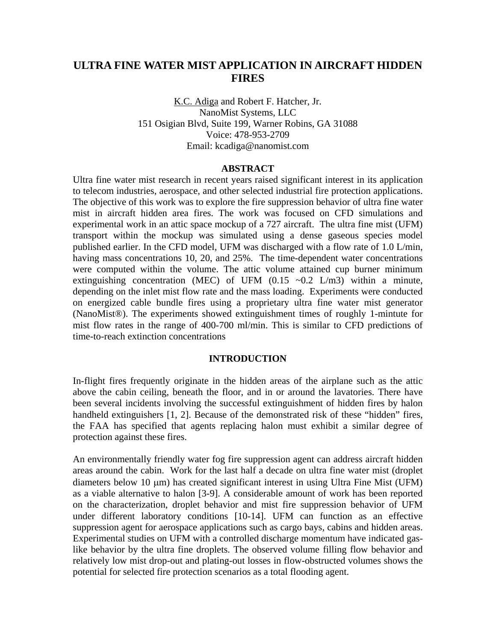# **ULTRA FINE WATER MIST APPLICATION IN AIRCRAFT HIDDEN FIRES**

K.C. Adiga and Robert F. Hatcher, Jr. NanoMist Systems, LLC 151 Osigian Blvd, Suite 199, Warner Robins, GA 31088 Voice: 478-953-2709 Email: kcadiga@nanomist.com

#### **ABSTRACT**

Ultra fine water mist research in recent years raised significant interest in its application to telecom industries, aerospace, and other selected industrial fire protection applications. The objective of this work was to explore the fire suppression behavior of ultra fine water mist in aircraft hidden area fires. The work was focused on CFD simulations and experimental work in an attic space mockup of a 727 aircraft. The ultra fine mist (UFM) transport within the mockup was simulated using a dense gaseous species model published earlier. In the CFD model, UFM was discharged with a flow rate of 1.0 L/min, having mass concentrations 10, 20, and 25%. The time-dependent water concentrations were computed within the volume. The attic volume attained cup burner minimum extinguishing concentration (MEC) of UFM  $(0.15 \sim 0.2 \text{ L/m3})$  within a minute, depending on the inlet mist flow rate and the mass loading. Experiments were conducted on energized cable bundle fires using a proprietary ultra fine water mist generator (NanoMist®). The experiments showed extinguishment times of roughly 1-mintute for mist flow rates in the range of 400-700 ml/min. This is similar to CFD predictions of time-to-reach extinction concentrations

#### **INTRODUCTION**

In-flight fires frequently originate in the hidden areas of the airplane such as the attic above the cabin ceiling, beneath the floor, and in or around the lavatories. There have been several incidents involving the successful extinguishment of hidden fires by halon handheld extinguishers [1, 2]. Because of the demonstrated risk of these "hidden" fires, the FAA has specified that agents replacing halon must exhibit a similar degree of protection against these fires.

An environmentally friendly water fog fire suppression agent can address aircraft hidden areas around the cabin. Work for the last half a decade on ultra fine water mist (droplet diameters below 10 μm) has created significant interest in using Ultra Fine Mist (UFM) as a viable alternative to halon [3-9]. A considerable amount of work has been reported on the characterization, droplet behavior and mist fire suppression behavior of UFM under different laboratory conditions [10-14]. UFM can function as an effective suppression agent for aerospace applications such as cargo bays, cabins and hidden areas. Experimental studies on UFM with a controlled discharge momentum have indicated gaslike behavior by the ultra fine droplets. The observed volume filling flow behavior and relatively low mist drop-out and plating-out losses in flow-obstructed volumes shows the potential for selected fire protection scenarios as a total flooding agent.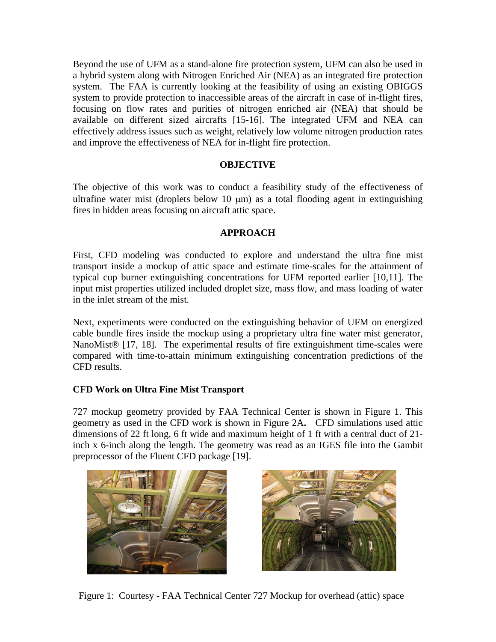Beyond the use of UFM as a stand-alone fire protection system, UFM can also be used in a hybrid system along with Nitrogen Enriched Air (NEA) as an integrated fire protection system. The FAA is currently looking at the feasibility of using an existing OBIGGS system to provide protection to inaccessible areas of the aircraft in case of in-flight fires, focusing on flow rates and purities of nitrogen enriched air (NEA) that should be available on different sized aircrafts [15-16]. The integrated UFM and NEA can effectively address issues such as weight, relatively low volume nitrogen production rates and improve the effectiveness of NEA for in-flight fire protection.

## **OBJECTIVE**

The objective of this work was to conduct a feasibility study of the effectiveness of ultrafine water mist (droplets below 10 μm) as a total flooding agent in extinguishing fires in hidden areas focusing on aircraft attic space.

## **APPROACH**

First, CFD modeling was conducted to explore and understand the ultra fine mist transport inside a mockup of attic space and estimate time-scales for the attainment of typical cup burner extinguishing concentrations for UFM reported earlier [10,11]. The input mist properties utilized included droplet size, mass flow, and mass loading of water in the inlet stream of the mist.

Next, experiments were conducted on the extinguishing behavior of UFM on energized cable bundle fires inside the mockup using a proprietary ultra fine water mist generator, NanoMist<sup>®</sup> [17, 18]. The experimental results of fire extinguishment time-scales were compared with time-to-attain minimum extinguishing concentration predictions of the CFD results.

### **CFD Work on Ultra Fine Mist Transport**

727 mockup geometry provided by FAA Technical Center is shown in Figure 1. This geometry as used in the CFD work is shown in Figure 2A**.** CFD simulations used attic dimensions of 22 ft long, 6 ft wide and maximum height of 1 ft with a central duct of 21 inch x 6-inch along the length. The geometry was read as an IGES file into the Gambit preprocessor of the Fluent CFD package [19].





Figure 1: Courtesy - FAA Technical Center 727 Mockup for overhead (attic) space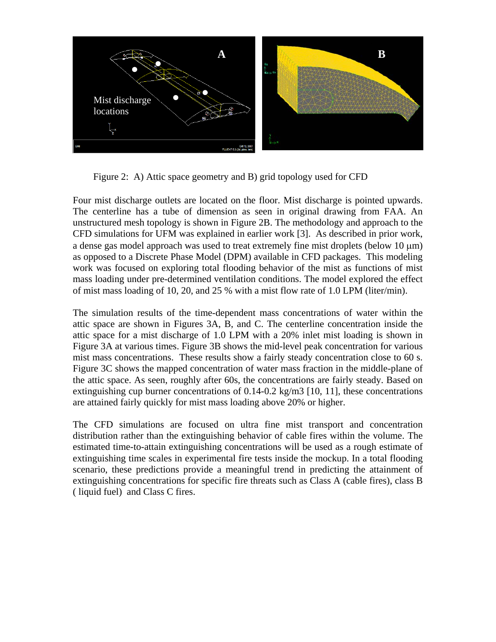

Figure 2: A) Attic space geometry and B) grid topology used for CFD

Four mist discharge outlets are located on the floor. Mist discharge is pointed upwards. The centerline has a tube of dimension as seen in original drawing from FAA. An unstructured mesh topology is shown in Figure 2B. The methodology and approach to the CFD simulations for UFM was explained in earlier work [3]. As described in prior work, a dense gas model approach was used to treat extremely fine mist droplets (below 10 μm) as opposed to a Discrete Phase Model (DPM) available in CFD packages. This modeling work was focused on exploring total flooding behavior of the mist as functions of mist mass loading under pre-determined ventilation conditions. The model explored the effect of mist mass loading of 10, 20, and 25 % with a mist flow rate of 1.0 LPM (liter/min).

The simulation results of the time-dependent mass concentrations of water within the attic space are shown in Figures 3A, B, and C. The centerline concentration inside the attic space for a mist discharge of 1.0 LPM with a 20% inlet mist loading is shown in Figure 3A at various times. Figure 3B shows the mid-level peak concentration for various mist mass concentrations. These results show a fairly steady concentration close to 60 s. Figure 3C shows the mapped concentration of water mass fraction in the middle-plane of the attic space. As seen, roughly after 60s, the concentrations are fairly steady. Based on extinguishing cup burner concentrations of 0.14-0.2 kg/m3 [10, 11], these concentrations are attained fairly quickly for mist mass loading above 20% or higher.

The CFD simulations are focused on ultra fine mist transport and concentration distribution rather than the extinguishing behavior of cable fires within the volume. The estimated time-to-attain extinguishing concentrations will be used as a rough estimate of extinguishing time scales in experimental fire tests inside the mockup. In a total flooding scenario, these predictions provide a meaningful trend in predicting the attainment of extinguishing concentrations for specific fire threats such as Class A (cable fires), class B ( liquid fuel) and Class C fires.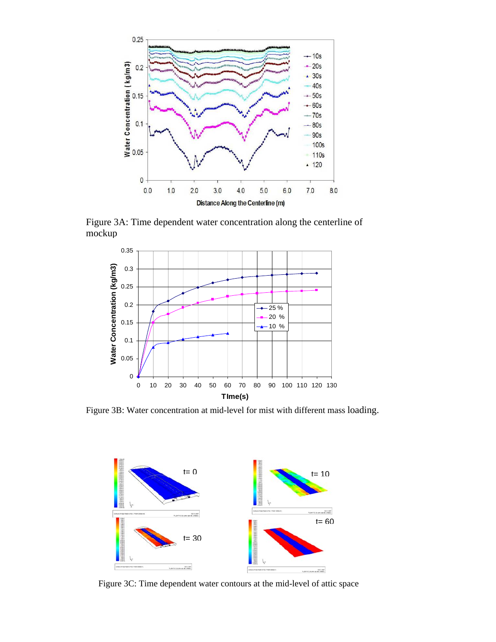

Figure 3A: Time dependent water concentration along the centerline of mockup



Figure 3B: Water concentration at mid-level for mist with different mass loading.



Figure 3C: Time dependent water contours at the mid-level of attic space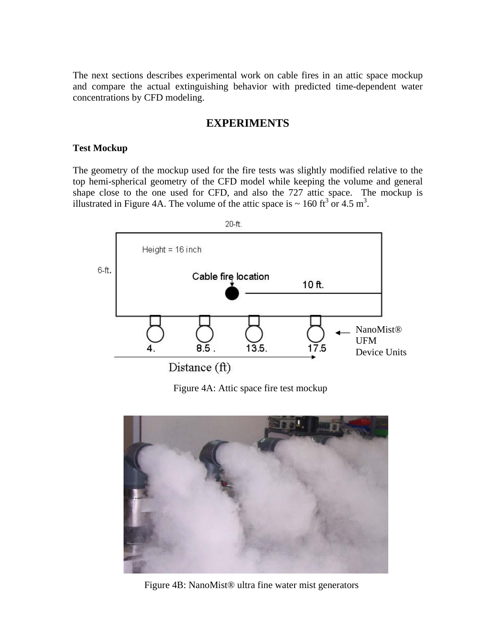The next sections describes experimental work on cable fires in an attic space mockup and compare the actual extinguishing behavior with predicted time-dependent water concentrations by CFD modeling.

### **EXPERIMENTS**

#### **Test Mockup**

The geometry of the mockup used for the fire tests was slightly modified relative to the top hemi-spherical geometry of the CFD model while keeping the volume and general shape close to the one used for CFD, and also the 727 attic space. The mockup is illustrated in Figure 4A. The volume of the attic space is  $\sim 160 \text{ ft}^3 \text{ or } 4.5 \text{ m}^3$ .



Figure 4A: Attic space fire test mockup



Figure 4B: NanoMist® ultra fine water mist generators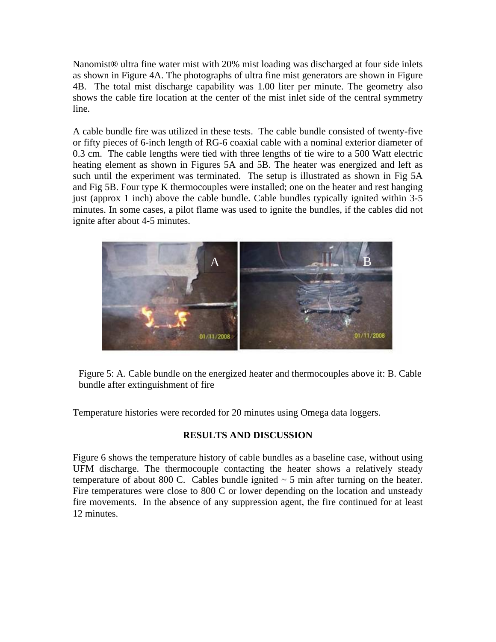Nanomist® ultra fine water mist with 20% mist loading was discharged at four side inlets as shown in Figure 4A. The photographs of ultra fine mist generators are shown in Figure 4B. The total mist discharge capability was 1.00 liter per minute. The geometry also shows the cable fire location at the center of the mist inlet side of the central symmetry line.

A cable bundle fire was utilized in these tests. The cable bundle consisted of twenty-five or fifty pieces of 6-inch length of RG-6 coaxial cable with a nominal exterior diameter of 0.3 cm. The cable lengths were tied with three lengths of tie wire to a 500 Watt electric heating element as shown in Figures 5A and 5B. The heater was energized and left as such until the experiment was terminated. The setup is illustrated as shown in Fig 5A and Fig 5B. Four type K thermocouples were installed; one on the heater and rest hanging just (approx 1 inch) above the cable bundle. Cable bundles typically ignited within 3-5 minutes. In some cases, a pilot flame was used to ignite the bundles, if the cables did not ignite after about 4-5 minutes.



Figure 5: A. Cable bundle on the energized heater and thermocouples above it: B. Cable bundle after extinguishment of fire

Temperature histories were recorded for 20 minutes using Omega data loggers.

# **RESULTS AND DISCUSSION**

Figure 6 shows the temperature history of cable bundles as a baseline case, without using UFM discharge. The thermocouple contacting the heater shows a relatively steady temperature of about 800 C. Cables bundle ignited  $\sim$  5 min after turning on the heater. Fire temperatures were close to 800 C or lower depending on the location and unsteady fire movements. In the absence of any suppression agent, the fire continued for at least 12 minutes.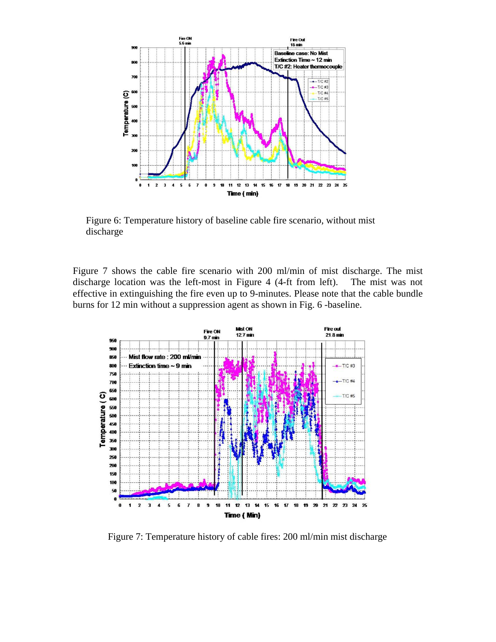

Figure 6: Temperature history of baseline cable fire scenario, without mist discharge

Figure 7 shows the cable fire scenario with 200 ml/min of mist discharge. The mist discharge location was the left-most in Figure 4 (4-ft from left). The mist was not effective in extinguishing the fire even up to 9-minutes. Please note that the cable bundle burns for 12 min without a suppression agent as shown in Fig. 6 -baseline.



Figure 7: Temperature history of cable fires: 200 ml/min mist discharge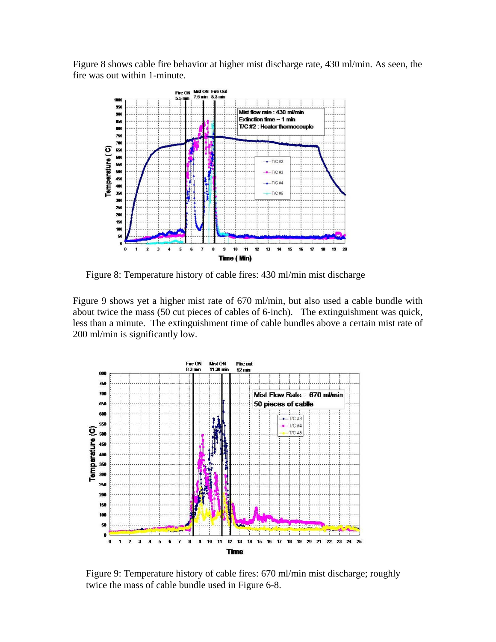Figure 8 shows cable fire behavior at higher mist discharge rate, 430 ml/min. As seen, the fire was out within 1-minute.



Figure 8: Temperature history of cable fires: 430 ml/min mist discharge

Figure 9 shows yet a higher mist rate of 670 ml/min, but also used a cable bundle with about twice the mass (50 cut pieces of cables of 6-inch). The extinguishment was quick, less than a minute. The extinguishment time of cable bundles above a certain mist rate of 200 ml/min is significantly low.



Figure 9: Temperature history of cable fires: 670 ml/min mist discharge; roughly twice the mass of cable bundle used in Figure 6-8.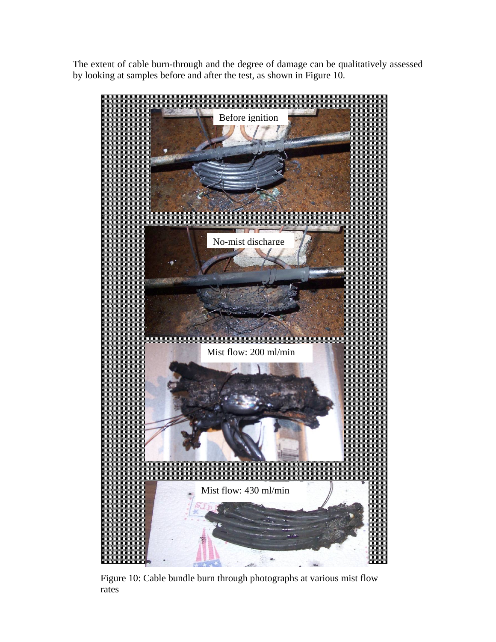The extent of cable burn-through and the degree of damage can be qualitatively assessed by looking at samples before and after the test, as shown in Figure 10.



Figure 10: Cable bundle burn through photographs at various mist flow rates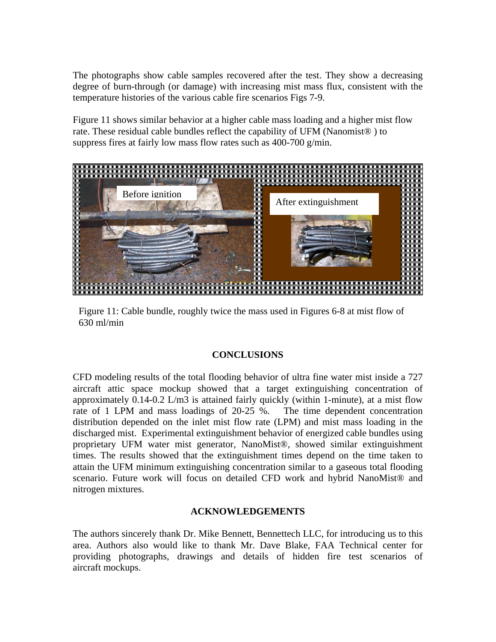The photographs show cable samples recovered after the test. They show a decreasing degree of burn-through (or damage) with increasing mist mass flux, consistent with the temperature histories of the various cable fire scenarios Figs 7-9.

Figure 11 shows similar behavior at a higher cable mass loading and a higher mist flow rate. These residual cable bundles reflect the capability of UFM (Nanomist® ) to suppress fires at fairly low mass flow rates such as 400-700 g/min.



Figure 11: Cable bundle, roughly twice the mass used in Figures 6-8 at mist flow of 630 ml/min

### **CONCLUSIONS**

CFD modeling results of the total flooding behavior of ultra fine water mist inside a 727 aircraft attic space mockup showed that a target extinguishing concentration of approximately 0.14-0.2 L/m3 is attained fairly quickly (within 1-minute), at a mist flow rate of 1 LPM and mass loadings of 20-25 %. The time dependent concentration distribution depended on the inlet mist flow rate (LPM) and mist mass loading in the discharged mist. Experimental extinguishment behavior of energized cable bundles using proprietary UFM water mist generator, NanoMist®, showed similar extinguishment times. The results showed that the extinguishment times depend on the time taken to attain the UFM minimum extinguishing concentration similar to a gaseous total flooding scenario. Future work will focus on detailed CFD work and hybrid NanoMist® and nitrogen mixtures.

### **ACKNOWLEDGEMENTS**

The authors sincerely thank Dr. Mike Bennett, Bennettech LLC, for introducing us to this area. Authors also would like to thank Mr. Dave Blake, FAA Technical center for providing photographs, drawings and details of hidden fire test scenarios of aircraft mockups.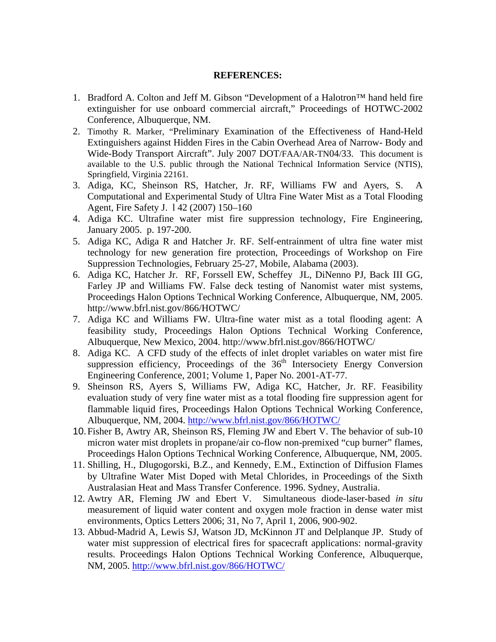#### **REFERENCES:**

- 1. Bradford A. Colton and Jeff M. Gibson "Development of a Halotron™ hand held fire extinguisher for use onboard commercial aircraft," Proceedings of HOTWC-2002 Conference, Albuquerque, NM.
- 2. Timothy R. Marker, "Preliminary Examination of the Effectiveness of Hand-Held Extinguishers against Hidden Fires in the Cabin Overhead Area of Narrow- Body and Wide-Body Transport Aircraft". July 2007 DOT/FAA/AR-TN04/33. This document is available to the U.S. public through the National Technical Information Service (NTIS), Springfield, Virginia 22161.
- 3. Adiga, KC, Sheinson RS, Hatcher, Jr. RF, Williams FW and Ayers, S. A Computational and Experimental Study of Ultra Fine Water Mist as a Total Flooding Agent, Fire Safety J. l 42 (2007) 150–160
- 4. Adiga KC. Ultrafine water mist fire suppression technology, Fire Engineering, January 2005. p. 197-200.
- 5. Adiga KC, Adiga R and Hatcher Jr. RF. Self-entrainment of ultra fine water mist technology for new generation fire protection, Proceedings of Workshop on Fire Suppression Technologies, February 25-27, Mobile, Alabama (2003).
- 6. Adiga KC, Hatcher Jr. RF, Forssell EW, Scheffey JL, DiNenno PJ, Back III GG, Farley JP and Williams FW. False deck testing of Nanomist water mist systems, Proceedings Halon Options Technical Working Conference, Albuquerque, NM, 2005. http://www.bfrl.nist.gov/866/HOTWC/
- 7. Adiga KC and Williams FW. Ultra-fine water mist as a total flooding agent: A feasibility study, Proceedings Halon Options Technical Working Conference, Albuquerque, New Mexico, 2004. http://www.bfrl.nist.gov/866/HOTWC/
- 8. Adiga KC. A CFD study of the effects of inlet droplet variables on water mist fire suppression efficiency, Proceedings of the  $36<sup>th</sup>$  Intersociety Energy Conversion Engineering Conference, 2001; Volume 1, Paper No. 2001-AT-77.
- 9. Sheinson RS, Ayers S, Williams FW, Adiga KC, Hatcher, Jr. RF. Feasibility evaluation study of very fine water mist as a total flooding fire suppression agent for flammable liquid fires, Proceedings Halon Options Technical Working Conference, Albuquerque, NM, 2004. http://www.bfrl.nist.gov/866/HOTWC/
- 10. Fisher B, Awtry AR, Sheinson RS, Fleming JW and Ebert V. The behavior of sub-10 micron water mist droplets in propane/air co-flow non-premixed "cup burner" flames, Proceedings Halon Options Technical Working Conference, Albuquerque, NM, 2005.
- 11. Shilling, H., Dlugogorski, B.Z., and Kennedy, E.M., Extinction of Diffusion Flames by Ultrafine Water Mist Doped with Metal Chlorides, in Proceedings of the Sixth Australasian Heat and Mass Transfer Conference. 1996. Sydney, Australia.
- 12. Awtry AR, Fleming JW and Ebert V. Simultaneous diode-laser-based *in situ*  measurement of liquid water content and oxygen mole fraction in dense water mist environments, Optics Letters 2006; 31, No 7, April 1, 2006, 900-902.
- 13. Abbud-Madrid A, Lewis SJ, Watson JD, McKinnon JT and Delplanque JP. Study of water mist suppression of electrical fires for spacecraft applications: normal-gravity results. Proceedings Halon Options Technical Working Conference, Albuquerque, NM, 2005. http://www.bfrl.nist.gov/866/HOTWC/